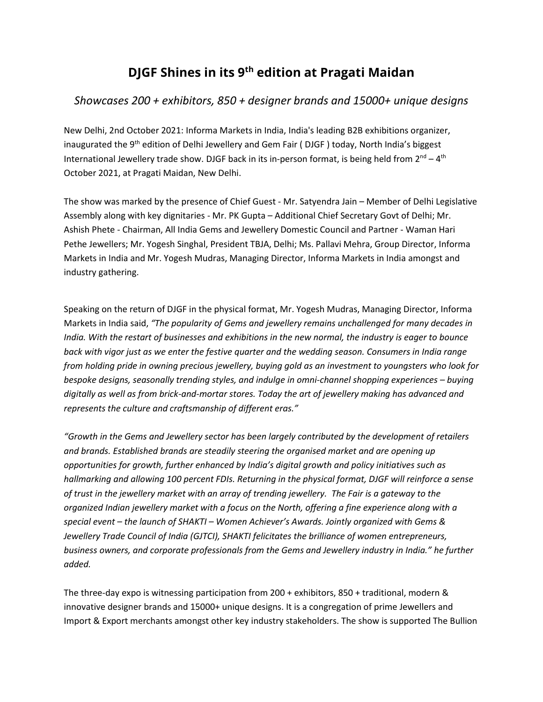# **DJGF Shines in its 9th edition at Pragati Maidan**

## *Showcases 200 + exhibitors, 850 + designer brands and 15000+ unique designs*

New Delhi, 2nd October 2021: Informa Markets in India, India's leading B2B exhibitions organizer, inaugurated the 9<sup>th</sup> edition of Delhi Jewellery and Gem Fair (DJGF) today, North India's biggest International Jewellery trade show. DJGF back in its in-person format, is being held from  $2^{nd} - 4^{th}$ October 2021, at Pragati Maidan, New Delhi.

The show was marked by the presence of Chief Guest - Mr. Satyendra Jain – Member of Delhi Legislative Assembly along with key dignitaries - Mr. PK Gupta – Additional Chief Secretary Govt of Delhi; Mr. Ashish Phete - Chairman, All India Gems and Jewellery Domestic Council and Partner - Waman Hari Pethe Jewellers; Mr. Yogesh Singhal, President TBJA, Delhi; Ms. Pallavi Mehra, Group Director, Informa Markets in India and Mr. Yogesh Mudras, Managing Director, Informa Markets in India amongst and industry gathering.

Speaking on the return of DJGF in the physical format, Mr. Yogesh Mudras, Managing Director, Informa Markets in India said, *"The popularity of Gems and jewellery remains unchallenged for many decades in India. With the restart of businesses and exhibitions in the new normal, the industry is eager to bounce back with vigor just as we enter the festive quarter and the wedding season. Consumers in India range from holding pride in owning precious jewellery, buying gold as an investment to youngsters who look for bespoke designs, seasonally trending styles, and indulge in omni-channel shopping experiences – buying digitally as well as from brick-and-mortar stores. Today the art of jewellery making has advanced and represents the culture and craftsmanship of different eras."*

*"Growth in the Gems and Jewellery sector has been largely contributed by the development of retailers and brands. Established brands are steadily steering the organised market and are opening up opportunities for growth, further enhanced by India's digital growth and policy initiatives such as hallmarking and allowing 100 percent FDIs. Returning in the physical format, DJGF will reinforce a sense of trust in the jewellery market with an array of trending jewellery. The Fair is a gateway to the organized Indian jewellery market with a focus on the North, offering a fine experience along with a special event – the launch of SHAKTI – Women Achiever's Awards. Jointly organized with Gems & Jewellery Trade Council of India (GJTCI), SHAKTI felicitates the brilliance of women entrepreneurs, business owners, and corporate professionals from the Gems and Jewellery industry in India." he further added.* 

The three-day expo is witnessing participation from 200 + exhibitors, 850 + traditional, modern & innovative designer brands and 15000+ unique designs. It is a congregation of prime Jewellers and Import & Export merchants amongst other key industry stakeholders. The show is supported The Bullion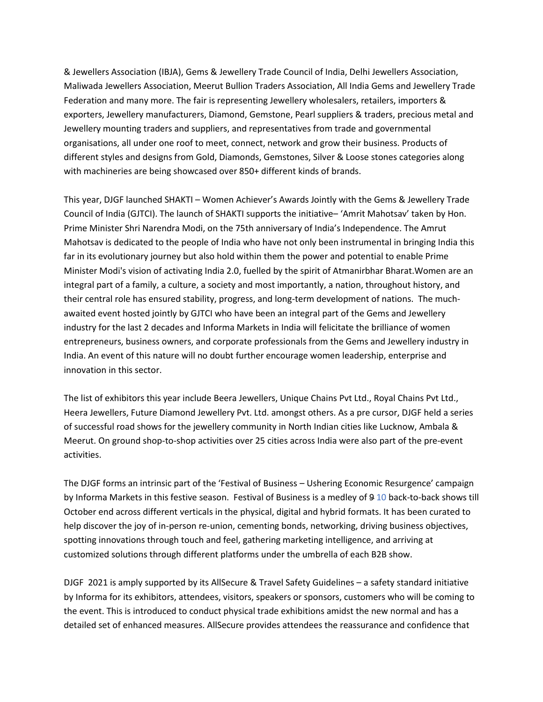& Jewellers Association (IBJA), Gems & Jewellery Trade Council of India, Delhi Jewellers Association, Maliwada Jewellers Association, Meerut Bullion Traders Association, All India Gems and Jewellery Trade Federation and many more. The fair is representing Jewellery wholesalers, retailers, importers & exporters, Jewellery manufacturers, Diamond, Gemstone, Pearl suppliers & traders, precious metal and Jewellery mounting traders and suppliers, and representatives from trade and governmental organisations, all under one roof to meet, connect, network and grow their business. Products of different styles and designs from Gold, Diamonds, Gemstones, Silver & Loose stones categories along with machineries are being showcased over 850+ different kinds of brands.

This year, DJGF launched SHAKTI – Women Achiever's Awards Jointly with the Gems & Jewellery Trade Council of India (GJTCI). The launch of SHAKTI supports the initiative– 'Amrit Mahotsav' taken by Hon. Prime Minister Shri Narendra Modi, on the 75th anniversary of India's Independence. The Amrut Mahotsav is dedicated to the people of India who have not only been instrumental in bringing India this far in its evolutionary journey but also hold within them the power and potential to enable Prime Minister Modi's vision of activating India 2.0, fuelled by the spirit of Atmanirbhar Bharat.Women are an integral part of a family, a culture, a society and most importantly, a nation, throughout history, and their central role has ensured stability, progress, and long-term development of nations. The muchawaited event hosted jointly by GJTCI who have been an integral part of the Gems and Jewellery industry for the last 2 decades and Informa Markets in India will felicitate the brilliance of women entrepreneurs, business owners, and corporate professionals from the Gems and Jewellery industry in India. An event of this nature will no doubt further encourage women leadership, enterprise and innovation in this sector.

The list of exhibitors this year include Beera Jewellers, Unique Chains Pvt Ltd., Royal Chains Pvt Ltd., Heera Jewellers, Future Diamond Jewellery Pvt. Ltd. amongst others. As a pre cursor, DJGF held a series of successful road shows for the jewellery community in North Indian cities like Lucknow, Ambala & Meerut. On ground shop-to-shop activities over 25 cities across India were also part of the pre-event activities.

The DJGF forms an intrinsic part of the 'Festival of Business – Ushering Economic Resurgence' campaign by Informa Markets in this festive season. Festival of Business is a medley of 9 10 back-to-back shows till October end across different verticals in the physical, digital and hybrid formats. It has been curated to help discover the joy of in-person re-union, cementing bonds, networking, driving business objectives, spotting innovations through touch and feel, gathering marketing intelligence, and arriving at customized solutions through different platforms under the umbrella of each B2B show.

DJGF 2021 is amply supported by its AllSecure & Travel Safety Guidelines – a safety standard initiative by Informa for its exhibitors, attendees, visitors, speakers or sponsors, customers who will be coming to the event. This is introduced to conduct physical trade exhibitions amidst the new normal and has a detailed set of enhanced measures. AllSecure provides attendees the reassurance and confidence that